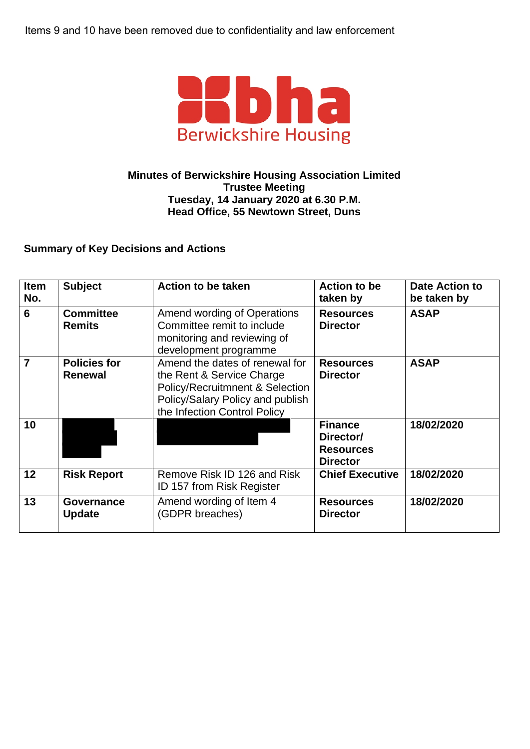Items 9 and 10 have been removed due to confidentiality and law enforcement



## **Minutes of Berwickshire Housing Association Limited Trustee Meeting Tuesday, 14 January 2020 at 6.30 P.M. Head Office, 55 Newtown Street, Duns**

## **Summary of Key Decisions and Actions**

| <b>Item</b><br>No. | <b>Subject</b>                        | <b>Action to be taken</b>                                                                                                                                                     | <b>Action to be</b><br>taken by                                    | <b>Date Action to</b><br>be taken by |
|--------------------|---------------------------------------|-------------------------------------------------------------------------------------------------------------------------------------------------------------------------------|--------------------------------------------------------------------|--------------------------------------|
| 6                  | <b>Committee</b><br><b>Remits</b>     | Amend wording of Operations<br>Committee remit to include<br>monitoring and reviewing of<br>development programme                                                             | <b>Resources</b><br><b>Director</b>                                | <b>ASAP</b>                          |
| 7                  | <b>Policies for</b><br><b>Renewal</b> | Amend the dates of renewal for<br>the Rent & Service Charge<br><b>Policy/Recruitmnent &amp; Selection</b><br>Policy/Salary Policy and publish<br>the Infection Control Policy | <b>Resources</b><br><b>Director</b>                                | <b>ASAP</b>                          |
| 10                 |                                       |                                                                                                                                                                               | <b>Finance</b><br>Director/<br><b>Resources</b><br><b>Director</b> | 18/02/2020                           |
| 12                 | <b>Risk Report</b>                    | Remove Risk ID 126 and Risk<br><b>ID 157 from Risk Register</b>                                                                                                               | <b>Chief Executive</b>                                             | 18/02/2020                           |
| 13                 | Governance<br><b>Update</b>           | Amend wording of Item 4<br>(GDPR breaches)                                                                                                                                    | <b>Resources</b><br><b>Director</b>                                | 18/02/2020                           |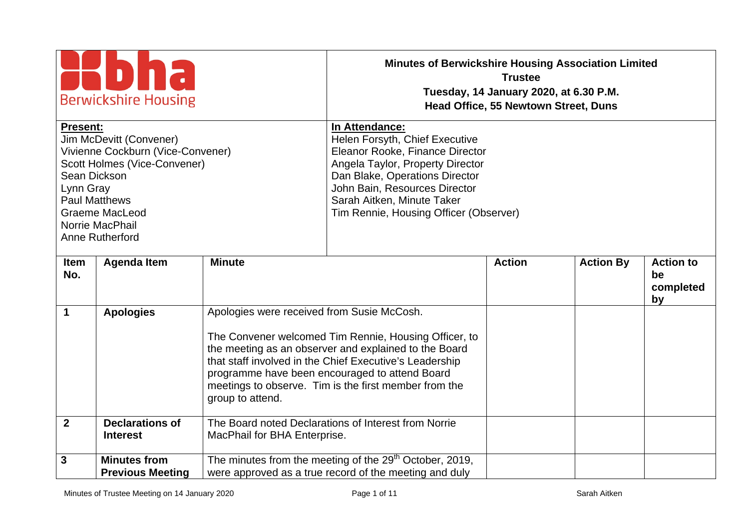| <b>Berwickshire Housing</b><br><b>Present:</b><br><b>Jim McDevitt (Convener)</b><br>Vivienne Cockburn (Vice-Convener)<br>Scott Holmes (Vice-Convener)<br>Sean Dickson<br>Lynn Gray<br><b>Paul Matthews</b><br><b>Graeme MacLeod</b><br>Norrie MacPhail<br>Anne Rutherford |                                                | <b>Minutes of Berwickshire Housing Association Limited</b><br>In Attendance:<br>Helen Forsyth, Chief Executive<br>Eleanor Rooke, Finance Director<br>Angela Taylor, Property Director<br>Dan Blake, Operations Director<br>John Bain, Resources Director<br>Sarah Aitken, Minute Taker<br>Tim Rennie, Housing Officer (Observer) | <b>Trustee</b><br>Tuesday, 14 January 2020, at 6.30 P.M.<br><b>Head Office, 55 Newtown Street, Duns</b>                                                                                                                                                                              |               |                  |                                           |
|---------------------------------------------------------------------------------------------------------------------------------------------------------------------------------------------------------------------------------------------------------------------------|------------------------------------------------|----------------------------------------------------------------------------------------------------------------------------------------------------------------------------------------------------------------------------------------------------------------------------------------------------------------------------------|--------------------------------------------------------------------------------------------------------------------------------------------------------------------------------------------------------------------------------------------------------------------------------------|---------------|------------------|-------------------------------------------|
| <b>Item</b><br>No.                                                                                                                                                                                                                                                        | <b>Agenda Item</b>                             | <b>Minute</b>                                                                                                                                                                                                                                                                                                                    |                                                                                                                                                                                                                                                                                      | <b>Action</b> | <b>Action By</b> | <b>Action to</b><br>be<br>completed<br>by |
| $\mathbf 1$                                                                                                                                                                                                                                                               | <b>Apologies</b>                               | Apologies were received from Susie McCosh.<br>group to attend.                                                                                                                                                                                                                                                                   | The Convener welcomed Tim Rennie, Housing Officer, to<br>the meeting as an observer and explained to the Board<br>that staff involved in the Chief Executive's Leadership<br>programme have been encouraged to attend Board<br>meetings to observe. Tim is the first member from the |               |                  |                                           |
| $\overline{2}$                                                                                                                                                                                                                                                            | <b>Declarations of</b><br><b>Interest</b>      | MacPhail for BHA Enterprise.                                                                                                                                                                                                                                                                                                     | The Board noted Declarations of Interest from Norrie                                                                                                                                                                                                                                 |               |                  |                                           |
| 3                                                                                                                                                                                                                                                                         | <b>Minutes from</b><br><b>Previous Meeting</b> |                                                                                                                                                                                                                                                                                                                                  | The minutes from the meeting of the 29 <sup>th</sup> October, 2019,<br>were approved as a true record of the meeting and duly                                                                                                                                                        |               |                  |                                           |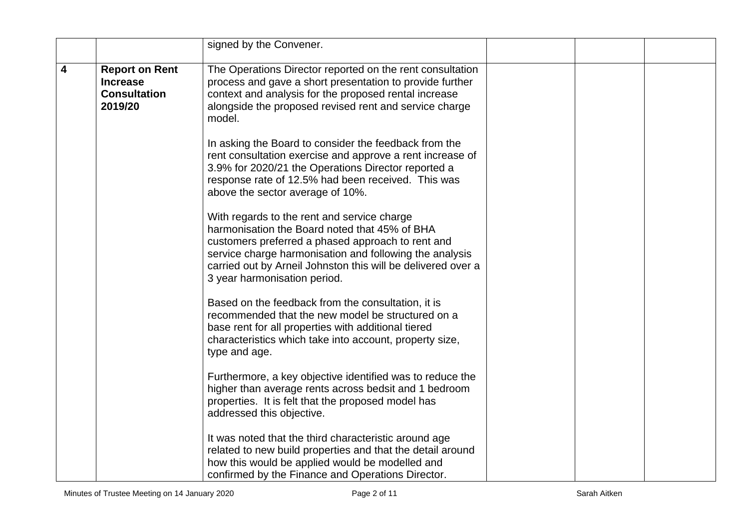|                         |                                                                            | signed by the Convener.                                                                                                                                                                                                                                                                                      |  |  |
|-------------------------|----------------------------------------------------------------------------|--------------------------------------------------------------------------------------------------------------------------------------------------------------------------------------------------------------------------------------------------------------------------------------------------------------|--|--|
| $\overline{\mathbf{4}}$ | <b>Report on Rent</b><br><b>Increase</b><br><b>Consultation</b><br>2019/20 | The Operations Director reported on the rent consultation<br>process and gave a short presentation to provide further<br>context and analysis for the proposed rental increase<br>alongside the proposed revised rent and service charge<br>model.                                                           |  |  |
|                         |                                                                            | In asking the Board to consider the feedback from the<br>rent consultation exercise and approve a rent increase of<br>3.9% for 2020/21 the Operations Director reported a<br>response rate of 12.5% had been received. This was<br>above the sector average of 10%.                                          |  |  |
|                         |                                                                            | With regards to the rent and service charge<br>harmonisation the Board noted that 45% of BHA<br>customers preferred a phased approach to rent and<br>service charge harmonisation and following the analysis<br>carried out by Arneil Johnston this will be delivered over a<br>3 year harmonisation period. |  |  |
|                         |                                                                            | Based on the feedback from the consultation, it is<br>recommended that the new model be structured on a<br>base rent for all properties with additional tiered<br>characteristics which take into account, property size,<br>type and age.                                                                   |  |  |
|                         |                                                                            | Furthermore, a key objective identified was to reduce the<br>higher than average rents across bedsit and 1 bedroom<br>properties. It is felt that the proposed model has<br>addressed this objective.                                                                                                        |  |  |
|                         |                                                                            | It was noted that the third characteristic around age<br>related to new build properties and that the detail around<br>how this would be applied would be modelled and<br>confirmed by the Finance and Operations Director.                                                                                  |  |  |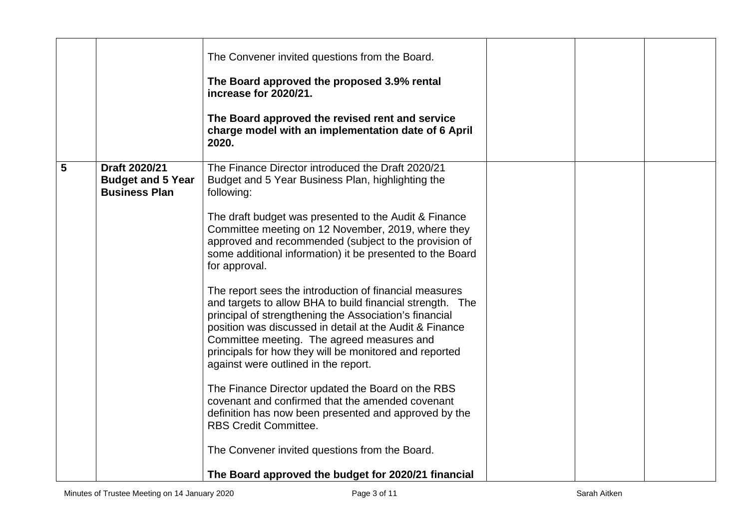|   |                                                                   | The Convener invited questions from the Board.<br>The Board approved the proposed 3.9% rental<br>increase for 2020/21.<br>The Board approved the revised rent and service<br>charge model with an implementation date of 6 April<br>2020.                                                                                                                                                                                                                                                                                                                                                                                                                                                                                                                                                                                                                                                                                                                                                                                  |  |  |
|---|-------------------------------------------------------------------|----------------------------------------------------------------------------------------------------------------------------------------------------------------------------------------------------------------------------------------------------------------------------------------------------------------------------------------------------------------------------------------------------------------------------------------------------------------------------------------------------------------------------------------------------------------------------------------------------------------------------------------------------------------------------------------------------------------------------------------------------------------------------------------------------------------------------------------------------------------------------------------------------------------------------------------------------------------------------------------------------------------------------|--|--|
| 5 | Draft 2020/21<br><b>Budget and 5 Year</b><br><b>Business Plan</b> | The Finance Director introduced the Draft 2020/21<br>Budget and 5 Year Business Plan, highlighting the<br>following:<br>The draft budget was presented to the Audit & Finance<br>Committee meeting on 12 November, 2019, where they<br>approved and recommended (subject to the provision of<br>some additional information) it be presented to the Board<br>for approval.<br>The report sees the introduction of financial measures<br>and targets to allow BHA to build financial strength. The<br>principal of strengthening the Association's financial<br>position was discussed in detail at the Audit & Finance<br>Committee meeting. The agreed measures and<br>principals for how they will be monitored and reported<br>against were outlined in the report.<br>The Finance Director updated the Board on the RBS<br>covenant and confirmed that the amended covenant<br>definition has now been presented and approved by the<br><b>RBS Credit Committee.</b><br>The Convener invited questions from the Board. |  |  |
|   |                                                                   | The Board approved the budget for 2020/21 financial                                                                                                                                                                                                                                                                                                                                                                                                                                                                                                                                                                                                                                                                                                                                                                                                                                                                                                                                                                        |  |  |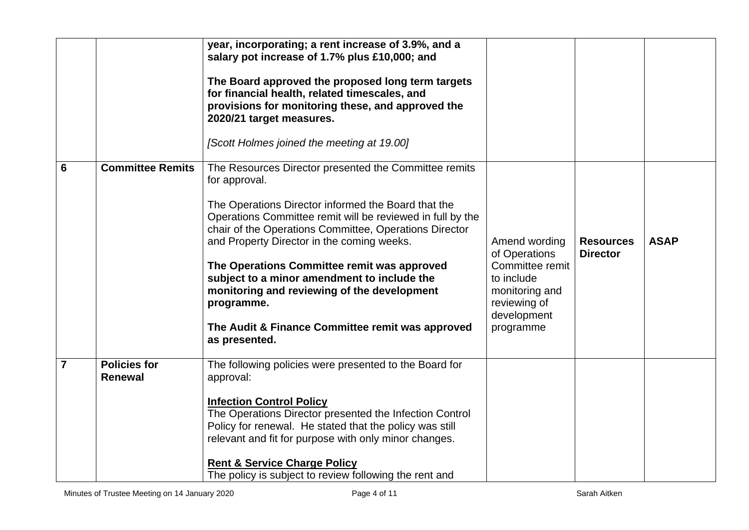|                |                                       | year, incorporating; a rent increase of 3.9%, and a<br>salary pot increase of 1.7% plus £10,000; and<br>The Board approved the proposed long term targets<br>for financial health, related timescales, and<br>provisions for monitoring these, and approved the<br>2020/21 target measures.<br>[Scott Holmes joined the meeting at 19.00]                                                                                                                                                                                           |                                                                                                                               |                                     |             |
|----------------|---------------------------------------|-------------------------------------------------------------------------------------------------------------------------------------------------------------------------------------------------------------------------------------------------------------------------------------------------------------------------------------------------------------------------------------------------------------------------------------------------------------------------------------------------------------------------------------|-------------------------------------------------------------------------------------------------------------------------------|-------------------------------------|-------------|
| 6              | <b>Committee Remits</b>               | The Resources Director presented the Committee remits<br>for approval.<br>The Operations Director informed the Board that the<br>Operations Committee remit will be reviewed in full by the<br>chair of the Operations Committee, Operations Director<br>and Property Director in the coming weeks.<br>The Operations Committee remit was approved<br>subject to a minor amendment to include the<br>monitoring and reviewing of the development<br>programme.<br>The Audit & Finance Committee remit was approved<br>as presented. | Amend wording<br>of Operations<br>Committee remit<br>to include<br>monitoring and<br>reviewing of<br>development<br>programme | <b>Resources</b><br><b>Director</b> | <b>ASAP</b> |
| $\overline{7}$ | <b>Policies for</b><br><b>Renewal</b> | The following policies were presented to the Board for<br>approval:<br><b>Infection Control Policy</b><br>The Operations Director presented the Infection Control<br>Policy for renewal. He stated that the policy was still<br>relevant and fit for purpose with only minor changes.<br><b>Rent &amp; Service Charge Policy</b><br>The policy is subject to review following the rent and                                                                                                                                          |                                                                                                                               |                                     |             |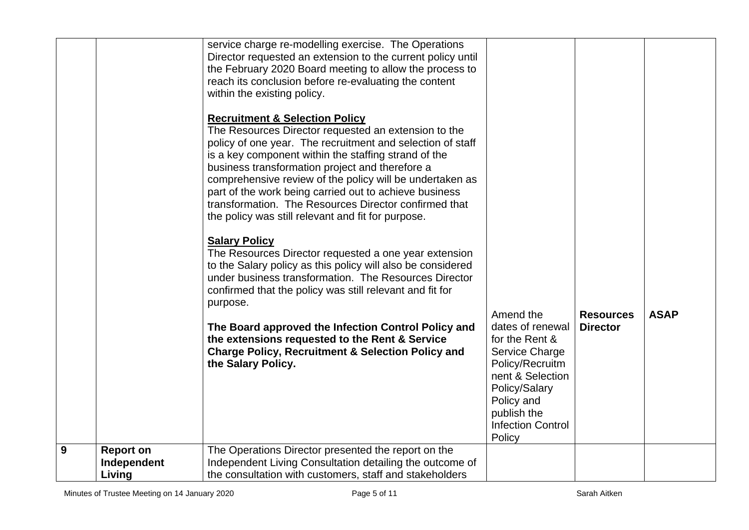|   |                                           | service charge re-modelling exercise. The Operations<br>Director requested an extension to the current policy until<br>the February 2020 Board meeting to allow the process to<br>reach its conclusion before re-evaluating the content<br>within the existing policy.                                                                                                                                                                                                                                          |                                                                                                                                                                                              |                                     |             |
|---|-------------------------------------------|-----------------------------------------------------------------------------------------------------------------------------------------------------------------------------------------------------------------------------------------------------------------------------------------------------------------------------------------------------------------------------------------------------------------------------------------------------------------------------------------------------------------|----------------------------------------------------------------------------------------------------------------------------------------------------------------------------------------------|-------------------------------------|-------------|
|   |                                           | <b>Recruitment &amp; Selection Policy</b><br>The Resources Director requested an extension to the<br>policy of one year. The recruitment and selection of staff<br>is a key component within the staffing strand of the<br>business transformation project and therefore a<br>comprehensive review of the policy will be undertaken as<br>part of the work being carried out to achieve business<br>transformation. The Resources Director confirmed that<br>the policy was still relevant and fit for purpose. |                                                                                                                                                                                              |                                     |             |
|   |                                           | <b>Salary Policy</b><br>The Resources Director requested a one year extension<br>to the Salary policy as this policy will also be considered<br>under business transformation. The Resources Director<br>confirmed that the policy was still relevant and fit for<br>purpose.                                                                                                                                                                                                                                   |                                                                                                                                                                                              |                                     |             |
|   |                                           | The Board approved the Infection Control Policy and<br>the extensions requested to the Rent & Service<br><b>Charge Policy, Recruitment &amp; Selection Policy and</b><br>the Salary Policy.                                                                                                                                                                                                                                                                                                                     | Amend the<br>dates of renewal<br>for the Rent &<br>Service Charge<br>Policy/Recruitm<br>nent & Selection<br>Policy/Salary<br>Policy and<br>publish the<br><b>Infection Control</b><br>Policy | <b>Resources</b><br><b>Director</b> | <b>ASAP</b> |
| 9 | <b>Report on</b><br>Independent<br>Living | The Operations Director presented the report on the<br>Independent Living Consultation detailing the outcome of<br>the consultation with customers, staff and stakeholders                                                                                                                                                                                                                                                                                                                                      |                                                                                                                                                                                              |                                     |             |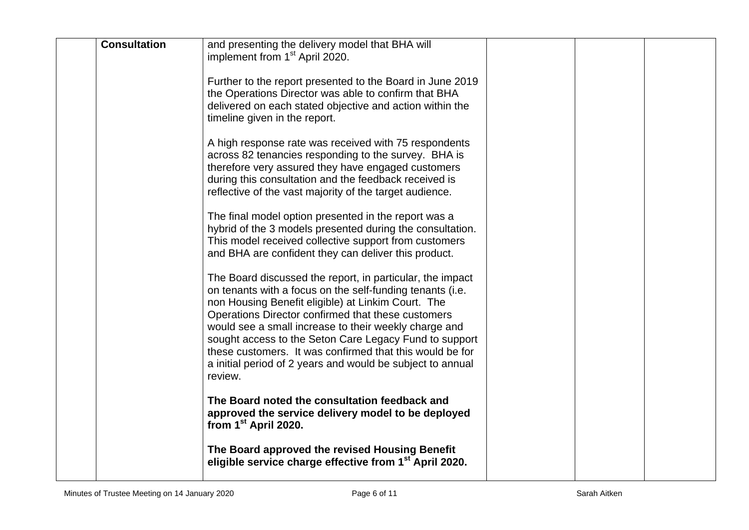| <b>Consultation</b> | and presenting the delivery model that BHA will<br>implement from 1 <sup>st</sup> April 2020.                                                                                                                                                                                                                                                                                                                                                                                              |  |  |
|---------------------|--------------------------------------------------------------------------------------------------------------------------------------------------------------------------------------------------------------------------------------------------------------------------------------------------------------------------------------------------------------------------------------------------------------------------------------------------------------------------------------------|--|--|
|                     | Further to the report presented to the Board in June 2019<br>the Operations Director was able to confirm that BHA<br>delivered on each stated objective and action within the<br>timeline given in the report.                                                                                                                                                                                                                                                                             |  |  |
|                     | A high response rate was received with 75 respondents<br>across 82 tenancies responding to the survey. BHA is<br>therefore very assured they have engaged customers<br>during this consultation and the feedback received is<br>reflective of the vast majority of the target audience.                                                                                                                                                                                                    |  |  |
|                     | The final model option presented in the report was a<br>hybrid of the 3 models presented during the consultation.<br>This model received collective support from customers<br>and BHA are confident they can deliver this product.                                                                                                                                                                                                                                                         |  |  |
|                     | The Board discussed the report, in particular, the impact<br>on tenants with a focus on the self-funding tenants (i.e.<br>non Housing Benefit eligible) at Linkim Court. The<br>Operations Director confirmed that these customers<br>would see a small increase to their weekly charge and<br>sought access to the Seton Care Legacy Fund to support<br>these customers. It was confirmed that this would be for<br>a initial period of 2 years and would be subject to annual<br>review. |  |  |
|                     | The Board noted the consultation feedback and<br>approved the service delivery model to be deployed<br>from $1st$ April 2020.                                                                                                                                                                                                                                                                                                                                                              |  |  |
|                     | The Board approved the revised Housing Benefit<br>eligible service charge effective from 1 <sup>st</sup> April 2020.                                                                                                                                                                                                                                                                                                                                                                       |  |  |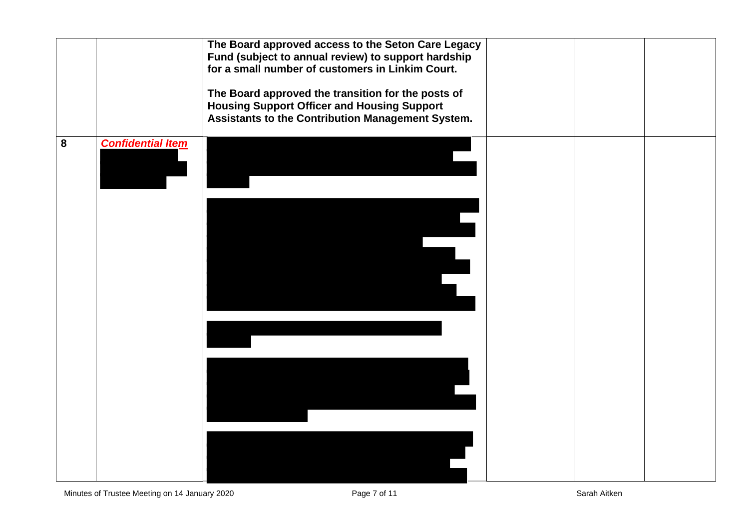|   |                          | The Board approved access to the Seton Care Legacy<br>Fund (subject to annual review) to support hardship<br>for a small number of customers in Linkim Court.<br>The Board approved the transition for the posts of<br><b>Housing Support Officer and Housing Support</b><br>Assistants to the Contribution Management System. |  |  |
|---|--------------------------|--------------------------------------------------------------------------------------------------------------------------------------------------------------------------------------------------------------------------------------------------------------------------------------------------------------------------------|--|--|
| 8 | <b>Confidential Item</b> |                                                                                                                                                                                                                                                                                                                                |  |  |
|   |                          |                                                                                                                                                                                                                                                                                                                                |  |  |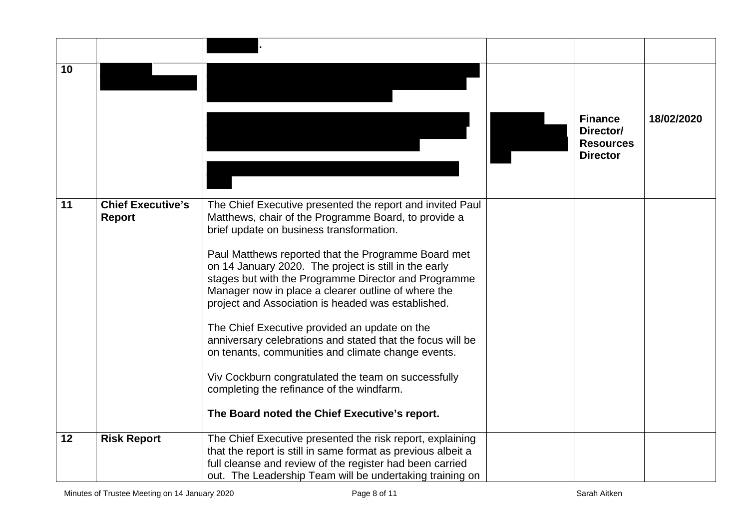| 10 |                                           |                                                                                                                                                                                                                                                                                                                                                                                                                                                                                                                                                                                                                                                                                                                                                                              | <b>Finance</b><br>Director/<br><b>Resources</b><br><b>Director</b> | 18/02/2020 |
|----|-------------------------------------------|------------------------------------------------------------------------------------------------------------------------------------------------------------------------------------------------------------------------------------------------------------------------------------------------------------------------------------------------------------------------------------------------------------------------------------------------------------------------------------------------------------------------------------------------------------------------------------------------------------------------------------------------------------------------------------------------------------------------------------------------------------------------------|--------------------------------------------------------------------|------------|
| 11 | <b>Chief Executive's</b><br><b>Report</b> | The Chief Executive presented the report and invited Paul<br>Matthews, chair of the Programme Board, to provide a<br>brief update on business transformation.<br>Paul Matthews reported that the Programme Board met<br>on 14 January 2020. The project is still in the early<br>stages but with the Programme Director and Programme<br>Manager now in place a clearer outline of where the<br>project and Association is headed was established.<br>The Chief Executive provided an update on the<br>anniversary celebrations and stated that the focus will be<br>on tenants, communities and climate change events.<br>Viv Cockburn congratulated the team on successfully<br>completing the refinance of the windfarm.<br>The Board noted the Chief Executive's report. |                                                                    |            |
| 12 | <b>Risk Report</b>                        | The Chief Executive presented the risk report, explaining<br>that the report is still in same format as previous albeit a<br>full cleanse and review of the register had been carried<br>out. The Leadership Team will be undertaking training on                                                                                                                                                                                                                                                                                                                                                                                                                                                                                                                            |                                                                    |            |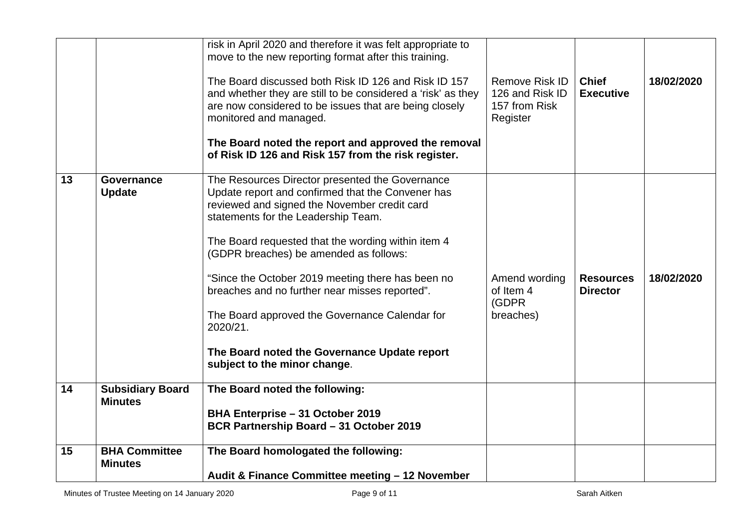| 15 | <b>BHA Committee</b><br><b>Minutes</b>    | The Board homologated the following:<br>Audit & Finance Committee meeting - 12 November                                                                                                                                                                                                                                          |                                                                |                                     |            |
|----|-------------------------------------------|----------------------------------------------------------------------------------------------------------------------------------------------------------------------------------------------------------------------------------------------------------------------------------------------------------------------------------|----------------------------------------------------------------|-------------------------------------|------------|
| 14 | <b>Subsidiary Board</b><br><b>Minutes</b> | The Board noted the following:<br>BHA Enterprise - 31 October 2019<br>BCR Partnership Board - 31 October 2019                                                                                                                                                                                                                    |                                                                |                                     |            |
|    |                                           | The Board approved the Governance Calendar for<br>2020/21.<br>The Board noted the Governance Update report<br>subject to the minor change.                                                                                                                                                                                       | breaches)                                                      |                                     |            |
|    |                                           | reviewed and signed the November credit card<br>statements for the Leadership Team.<br>The Board requested that the wording within item 4<br>(GDPR breaches) be amended as follows:<br>"Since the October 2019 meeting there has been no<br>breaches and no further near misses reported".                                       | Amend wording<br>of Item 4<br>(GDPR                            | <b>Resources</b><br><b>Director</b> | 18/02/2020 |
| 13 | <b>Governance</b><br><b>Update</b>        | The Board noted the report and approved the removal<br>of Risk ID 126 and Risk 157 from the risk register.<br>The Resources Director presented the Governance<br>Update report and confirmed that the Convener has                                                                                                               |                                                                |                                     |            |
|    |                                           | risk in April 2020 and therefore it was felt appropriate to<br>move to the new reporting format after this training.<br>The Board discussed both Risk ID 126 and Risk ID 157<br>and whether they are still to be considered a 'risk' as they<br>are now considered to be issues that are being closely<br>monitored and managed. | Remove Risk ID<br>126 and Risk ID<br>157 from Risk<br>Register | <b>Chief</b><br><b>Executive</b>    | 18/02/2020 |